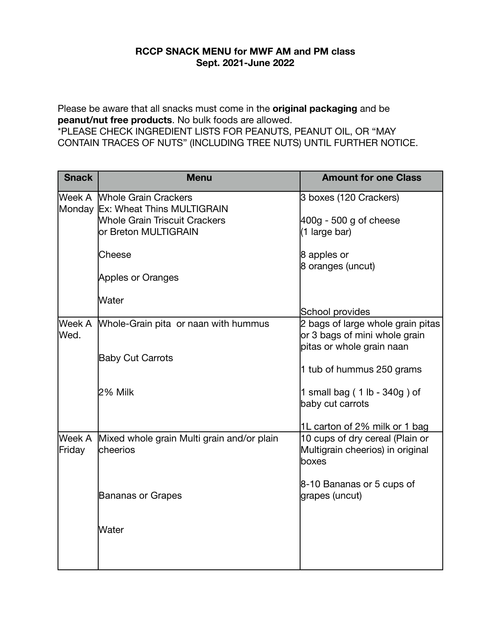## **RCCP SNACK MENU for MWF AM and PM class Sept. 2021-June 2022**

Please be aware that all snacks must come in the **original packaging** and be **peanut/nut free products**. No bulk foods are allowed.

\*PLEASE CHECK INGREDIENT LISTS FOR PEANUTS, PEANUT OIL, OR "MAY CONTAIN TRACES OF NUTS" (INCLUDING TREE NUTS) UNTIL FURTHER NOTICE.

| <b>Snack</b>     | <b>Menu</b>                                                                                                                      | <b>Amount for one Class</b>                                                                     |
|------------------|----------------------------------------------------------------------------------------------------------------------------------|-------------------------------------------------------------------------------------------------|
|                  | Week A Whole Grain Crackers<br>Monday Ex: Wheat Thins MULTIGRAIN<br><b>Whole Grain Triscuit Crackers</b><br>or Breton MULTIGRAIN | 3 boxes (120 Crackers)<br>$400g - 500g$ of cheese<br>(1 large bar)                              |
|                  | Cheese<br>Apples or Oranges                                                                                                      | 8 apples or<br>8 oranges (uncut)                                                                |
|                  | Water                                                                                                                            | School provides                                                                                 |
| Week A<br>lWed.  | Whole-Grain pita or naan with hummus                                                                                             | 2 bags of large whole grain pitas<br>or 3 bags of mini whole grain<br>pitas or whole grain naan |
|                  | <b>Baby Cut Carrots</b>                                                                                                          | 1 tub of hummus 250 grams                                                                       |
|                  | 2% Milk                                                                                                                          | 1 small bag (1 lb - 340g) of<br>baby cut carrots                                                |
|                  |                                                                                                                                  | 1L carton of 2% milk or 1 bag                                                                   |
| Week A<br>Friday | Mixed whole grain Multi grain and/or plain<br>lcheerios                                                                          | 10 cups of dry cereal (Plain or<br>Multigrain cheerios) in original<br>lboxes                   |
|                  | Bananas or Grapes                                                                                                                | 8-10 Bananas or 5 cups of<br>grapes (uncut)                                                     |
|                  | Water                                                                                                                            |                                                                                                 |
|                  |                                                                                                                                  |                                                                                                 |